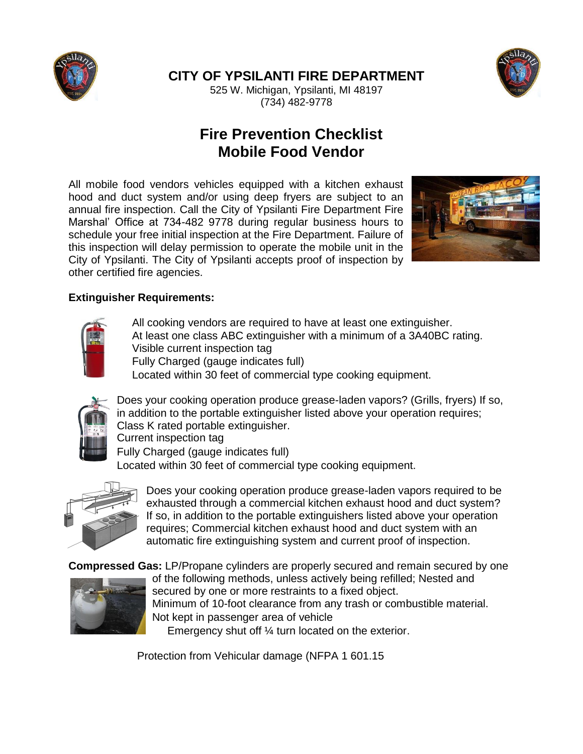

**CITY OF YPSILANTI FIRE DEPARTMENT**



525 W. Michigan, Ypsilanti, MI 48197 (734) 482-9778

# **Fire Prevention Checklist Mobile Food Vendor**

All mobile food vendors vehicles equipped with a kitchen exhaust hood and duct system and/or using deep fryers are subject to an annual fire inspection. Call the City of Ypsilanti Fire Department Fire Marshal' Office at 734-482 9778 during regular business hours to schedule your free initial inspection at the Fire Department. Failure of this inspection will delay permission to operate the mobile unit in the City of Ypsilanti. The City of Ypsilanti accepts proof of inspection by other certified fire agencies.



### **Extinguisher Requirements:**



All cooking vendors are required to have at least one extinguisher. At least one class ABC extinguisher with a minimum of a 3A40BC rating. Visible current inspection tag Fully Charged (gauge indicates full)

Located within 30 feet of commercial type cooking equipment.



Does your cooking operation produce grease-laden vapors? (Grills, fryers) If so, in addition to the portable extinguisher listed above your operation requires; Class K rated portable extinguisher. Current inspection tag

Fully Charged (gauge indicates full)

Located within 30 feet of commercial type cooking equipment.



Does your cooking operation produce grease-laden vapors required to be exhausted through a commercial kitchen exhaust hood and duct system? If so, in addition to the portable extinguishers listed above your operation requires; Commercial kitchen exhaust hood and duct system with an automatic fire extinguishing system and current proof of inspection.

**Compressed Gas:** LP/Propane cylinders are properly secured and remain secured by one



of the following methods, unless actively being refilled; Nested and secured by one or more restraints to a fixed object. Minimum of 10-foot clearance from any trash or combustible material. Not kept in passenger area of vehicle Emergency shut off ¼ turn located on the exterior.

Protection from Vehicular damage (NFPA 1 601.15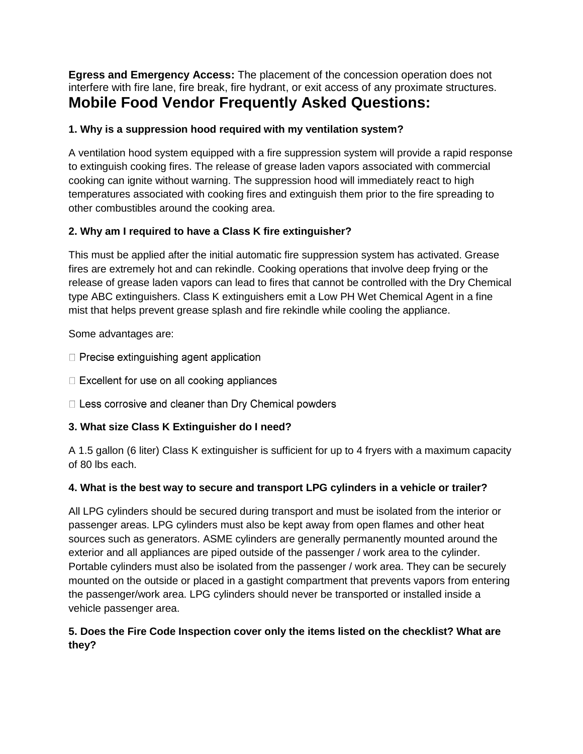**Egress and Emergency Access:** The placement of the concession operation does not interfere with fire lane, fire break, fire hydrant, or exit access of any proximate structures. **Mobile Food Vendor Frequently Asked Questions:**

### **1. Why is a suppression hood required with my ventilation system?**

A ventilation hood system equipped with a fire suppression system will provide a rapid response to extinguish cooking fires. The release of grease laden vapors associated with commercial cooking can ignite without warning. The suppression hood will immediately react to high temperatures associated with cooking fires and extinguish them prior to the fire spreading to other combustibles around the cooking area.

### **2. Why am I required to have a Class K fire extinguisher?**

This must be applied after the initial automatic fire suppression system has activated. Grease fires are extremely hot and can rekindle. Cooking operations that involve deep frying or the release of grease laden vapors can lead to fires that cannot be controlled with the Dry Chemical type ABC extinguishers. Class K extinguishers emit a Low PH Wet Chemical Agent in a fine mist that helps prevent grease splash and fire rekindle while cooling the appliance.

Some advantages are:

- $\Box$  Precise extinguishing agent application
- □ Excellent for use on all cooking appliances
- □ Less corrosive and cleaner than Dry Chemical powders

## **3. What size Class K Extinguisher do I need?**

A 1.5 gallon (6 liter) Class K extinguisher is sufficient for up to 4 fryers with a maximum capacity of 80 lbs each.

#### **4. What is the best way to secure and transport LPG cylinders in a vehicle or trailer?**

All LPG cylinders should be secured during transport and must be isolated from the interior or passenger areas. LPG cylinders must also be kept away from open flames and other heat sources such as generators. ASME cylinders are generally permanently mounted around the exterior and all appliances are piped outside of the passenger / work area to the cylinder. Portable cylinders must also be isolated from the passenger / work area. They can be securely mounted on the outside or placed in a gastight compartment that prevents vapors from entering the passenger/work area. LPG cylinders should never be transported or installed inside a vehicle passenger area.

### **5. Does the Fire Code Inspection cover only the items listed on the checklist? What are they?**